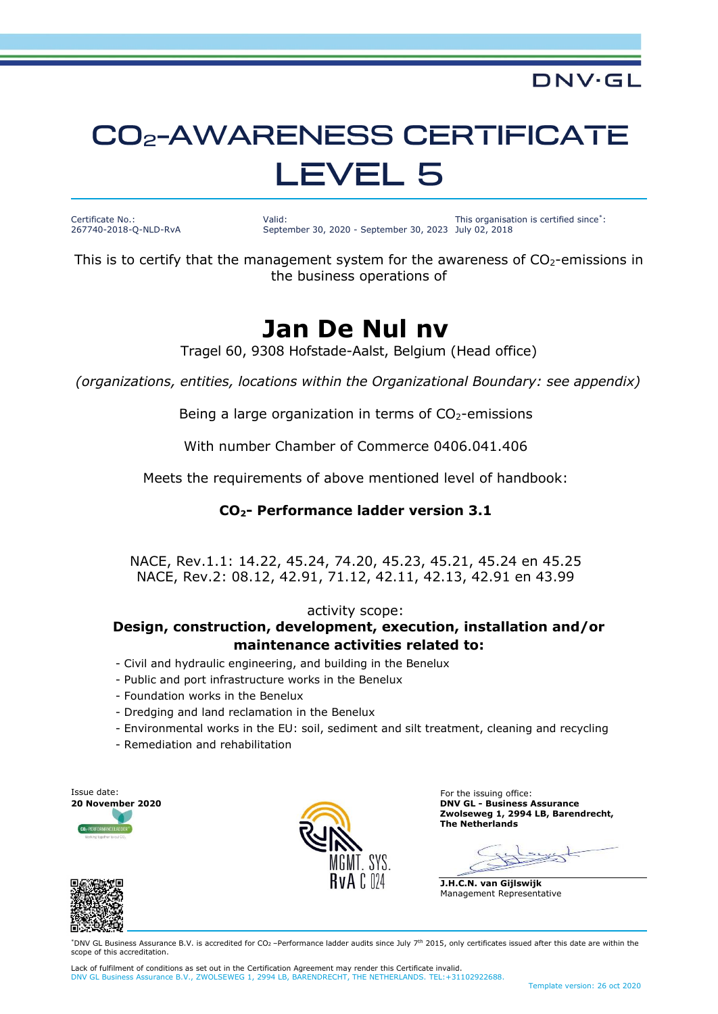## **CO<sub>2</sub>-AWARENESS CERTIFICATE LEVEL 5**

Certificate No.: 267740-2018-Q-NLD-RvA Valid: September 30, 2020 - September 30, 2023 July 02, 2018 This organisation is certified since\* :

DNV·GL

This is to certify that the management system for the awareness of  $CO<sub>2</sub>$ -emissions in the business operations of

### **Jan De Nul nv**

Tragel 60, 9308 Hofstade-Aalst, Belgium (Head office)

*(organizations, entities, locations within the Organizational Boundary: see appendix)*

Being a large organization in terms of  $CO<sub>2</sub>$ -emissions

With number Chamber of Commerce 0406.041.406

Meets the requirements of above mentioned level of handbook:

#### **CO2- Performance ladder version 3.1**

NACE, Rev.1.1: 14.22, 45.24, 74.20, 45.23, 45.21, 45.24 en 45.25 NACE, Rev.2: 08.12, 42.91, 71.12, 42.11, 42.13, 42.91 en 43.99

#### activity scope:

#### **Design, construction, development, execution, installation and/or maintenance activities related to:**

- Civil and hydraulic engineering, and building in the Benelux
- Public and port infrastructure works in the Benelux
- Foundation works in the Benelux
- Dredging and land reclamation in the Benelux
- Environmental works in the EU: soil, sediment and silt treatment, cleaning and recycling
- Remediation and rehabilitation





**20 November 2020 DNV GL - Business Assurance Zwolseweg 1, 2994 LB, Barendrecht, The Netherlands**

**J.H.C.N. van Gijlswijk** Management Representative



\*DNV GL Business Assurance B.V. is accredited for CO2 –Performance ladder audits since July 7 th 2015, only certificates issued after this date are within the scope of this accreditation

Lack of fulfilment of conditions as set out in the Certification Agreement may render this Certificate invalid. DNV GL Business Assurance B.V., ZWOLSEWEG 1, 2994 LB, BARENDRECHT, THE NETHERLANDS. TEL:+31102922688.